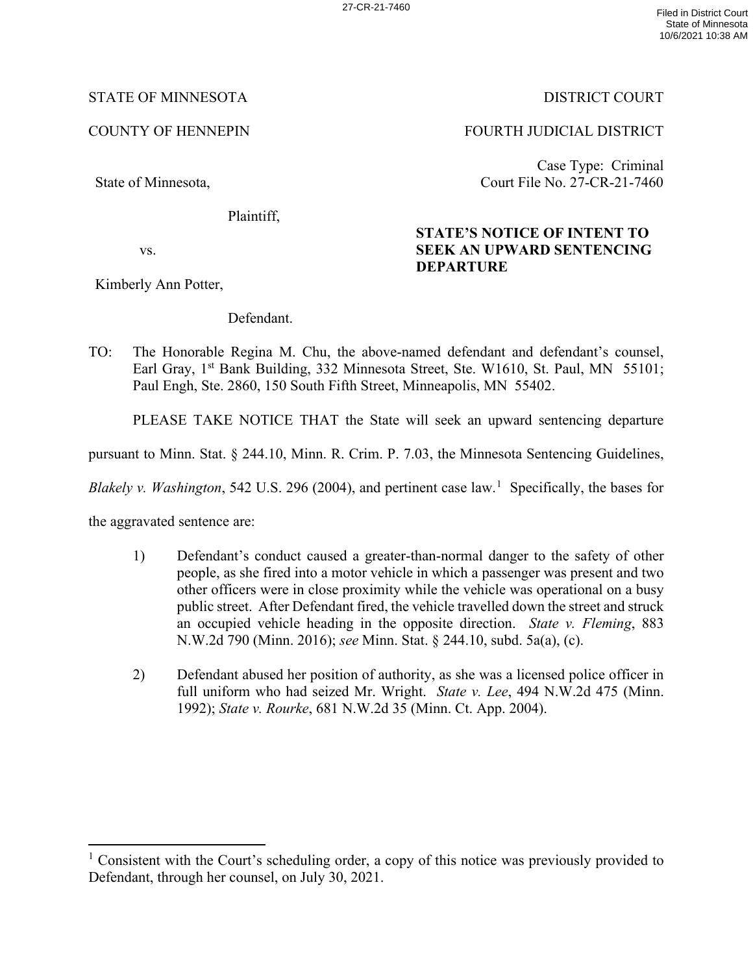### STATE OF MINNESOTA DISTRICT COURT

State of Minnesota,

Plaintiff,

vs.

Kimberly Ann Potter,

Defendant.

TO: The Honorable Regina M. Chu, the above-named defendant and defendant's counsel, Earl Gray, 1<sup>st</sup> Bank Building, 332 Minnesota Street, Ste. W1610, St. Paul, MN 55101; Paul Engh, Ste. 2860, 150 South Fifth Street, Minneapolis, MN 55402.

PLEASE TAKE NOTICE THAT the State will seek an upward sentencing departure

pursuant to Minn. Stat. § 244.10, Minn. R. Crim. P. 7.03, the Minnesota Sentencing Guidelines,

Blakely v. Washington, 542 U.S. 296 (2004), and pertinent case law.<sup>[1](#page-0-0)</sup> Specifically, the bases for

the aggravated sentence are:

- 1) Defendant's conduct caused a greater-than-normal danger to the safety of other people, as she fired into a motor vehicle in which a passenger was present and two other officers were in close proximity while the vehicle was operational on a busy public street. After Defendant fired, the vehicle travelled down the street and struck an occupied vehicle heading in the opposite direction. *State v. Fleming*, 883 N.W.2d 790 (Minn. 2016); *see* Minn. Stat. § 244.10, subd. 5a(a), (c).
- 2) Defendant abused her position of authority, as she was a licensed police officer in full uniform who had seized Mr. Wright. *State v. Lee*, 494 N.W.2d 475 (Minn. 1992); *State v. Rourke*, 681 N.W.2d 35 (Minn. Ct. App. 2004).

COUNTY OF HENNEPIN FOURTH JUDICIAL DISTRICT

Case Type: Criminal Court File No. 27-CR-21-7460

## **STATE'S NOTICE OF INTENT TO SEEK AN UPWARD SENTENCING DEPARTURE**

<span id="page-0-0"></span><sup>&</sup>lt;sup>1</sup> Consistent with the Court's scheduling order, a copy of this notice was previously provided to Defendant, through her counsel, on July 30, 2021.